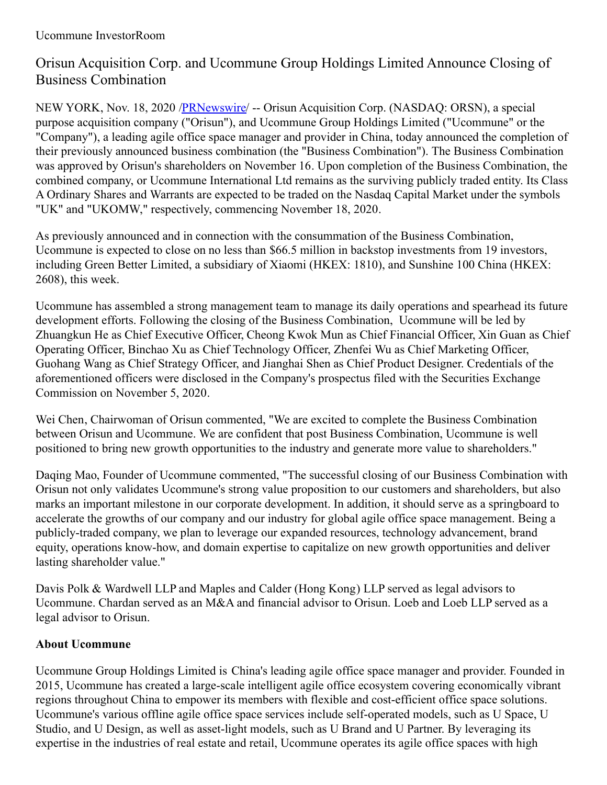# Orisun Acquisition Corp. and Ucommune Group Holdings Limited Announce Closing of Business Combination

NEW YORK, Nov. 18, 2020 [/PRNewswire](http://www.prnewswire.com/)/ -- Orisun Acquisition Corp. (NASDAQ: ORSN), a special purpose acquisition company ("Orisun"), and Ucommune Group Holdings Limited ("Ucommune" or the "Company"), a leading agile office space manager and provider in China, today announced the completion of their previously announced business combination (the "Business Combination"). The Business Combination was approved by Orisun's shareholders on November 16. Upon completion of the Business Combination, the combined company, or Ucommune International Ltd remains as the surviving publicly traded entity. Its Class A Ordinary Shares and Warrants are expected to be traded on the Nasdaq Capital Market under the symbols "UK" and "UKOMW," respectively, commencing November 18, 2020.

As previously announced and in connection with the consummation of the Business Combination, Ucommune is expected to close on no less than \$66.5 million in backstop investments from 19 investors, including Green Better Limited, a subsidiary of Xiaomi (HKEX: 1810), and Sunshine 100 China (HKEX: 2608), this week.

Ucommune has assembled a strong management team to manage its daily operations and spearhead its future development efforts. Following the closing of the Business Combination, Ucommune will be led by Zhuangkun He as Chief Executive Officer, Cheong Kwok Mun as Chief Financial Officer, Xin Guan as Chief Operating Officer, Binchao Xu as Chief Technology Officer, Zhenfei Wu as Chief Marketing Officer, Guohang Wang as Chief Strategy Officer, and Jianghai Shen as Chief Product Designer. Credentials of the aforementioned officers were disclosed in the Company's prospectus filed with the Securities Exchange Commission on November 5, 2020.

Wei Chen, Chairwoman of Orisun commented, "We are excited to complete the Business Combination between Orisun and Ucommune. We are confident that post Business Combination, Ucommune is well positioned to bring new growth opportunities to the industry and generate more value to shareholders."

Daqing Mao, Founder of Ucommune commented, "The successful closing of our Business Combination with Orisun not only validates Ucommune's strong value proposition to our customers and shareholders, but also marks an important milestone in our corporate development. In addition, it should serve as a springboard to accelerate the growths of our company and our industry for global agile office space management. Being a publicly-traded company, we plan to leverage our expanded resources, technology advancement, brand equity, operations know-how, and domain expertise to capitalize on new growth opportunities and deliver lasting shareholder value."

Davis Polk & Wardwell LLP and Maples and Calder (Hong Kong) LLP served as legal advisors to Ucommune. Chardan served as an M&A and financial advisor to Orisun. Loeb and Loeb LLP served as a legal advisor to Orisun.

# **About Ucommune**

Ucommune Group Holdings Limited is China's leading agile office space manager and provider. Founded in 2015, Ucommune has created a large-scale intelligent agile office ecosystem covering economically vibrant regions throughout China to empower its members with flexible and cost-efficient office space solutions. Ucommune's various offline agile office space services include self-operated models, such as U Space, U Studio, and U Design, as well as asset-light models, such as U Brand and U Partner. By leveraging its expertise in the industries of real estate and retail, Ucommune operates its agile office spaces with high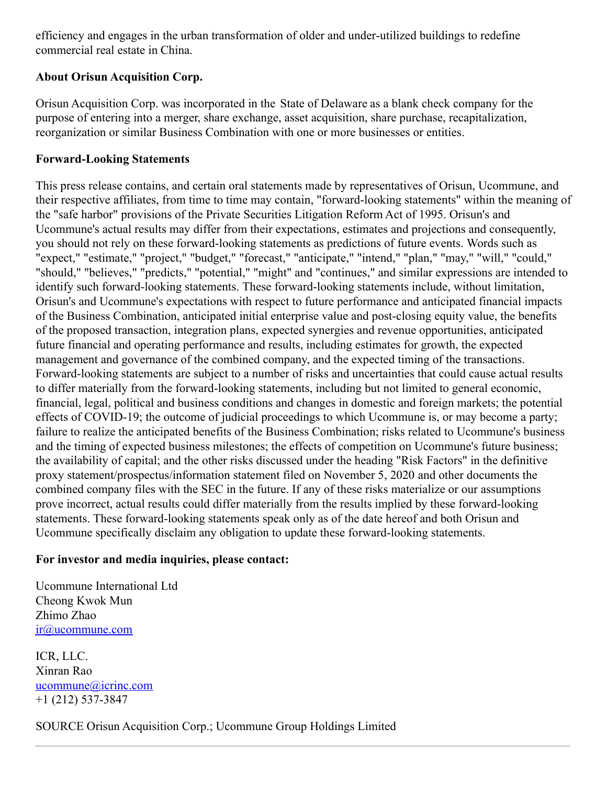efficiency and engages in the urban transformation of older and under-utilized buildings to redefine commercial real estate in China.

## **About Orisun Acquisition Corp.**

Orisun Acquisition Corp. was incorporated in the State of Delaware as a blank check company for the purpose of entering into a merger, share exchange, asset acquisition, share purchase, recapitalization, reorganization or similar Business Combination with one or more businesses or entities.

### **Forward-Looking Statements**

This press release contains, and certain oral statements made by representatives of Orisun, Ucommune, and their respective affiliates, from time to time may contain, "forward-looking statements" within the meaning of the "safe harbor" provisions of the Private Securities Litigation Reform Act of 1995. Orisun's and Ucommune's actual results may differ from their expectations, estimates and projections and consequently, you should not rely on these forward-looking statements as predictions of future events. Words such as "expect," "estimate," "project," "budget," "forecast," "anticipate," "intend," "plan," "may," "will," "could," "should," "believes," "predicts," "potential," "might" and "continues," and similar expressions are intended to identify such forward-looking statements. These forward-looking statements include, without limitation, Orisun's and Ucommune's expectations with respect to future performance and anticipated financial impacts of the Business Combination, anticipated initial enterprise value and post-closing equity value, the benefits of the proposed transaction, integration plans, expected synergies and revenue opportunities, anticipated future financial and operating performance and results, including estimates for growth, the expected management and governance of the combined company, and the expected timing of the transactions. Forward-looking statements are subject to a number of risks and uncertainties that could cause actual results to differ materially from the forward-looking statements, including but not limited to general economic, financial, legal, political and business conditions and changes in domestic and foreign markets; the potential effects of COVID-19; the outcome of judicial proceedings to which Ucommune is, or may become a party; failure to realize the anticipated benefits of the Business Combination; risks related to Ucommune's business and the timing of expected business milestones; the effects of competition on Ucommune's future business; the availability of capital; and the other risks discussed under the heading "Risk Factors" in the definitive proxy statement/prospectus/information statement filed on November 5, 2020 and other documents the combined company files with the SEC in the future. If any of these risks materialize or our assumptions prove incorrect, actual results could differ materially from the results implied by these forward-looking statements. These forward-looking statements speak only as of the date hereof and both Orisun and Ucommune specifically disclaim any obligation to update these forward-looking statements.

#### **For investor and media inquiries, please contact:**

Ucommune International Ltd Cheong Kwok Mun Zhimo Zhao [ir@ucommune.com](mailto:ir@ucommune.com)

ICR, LLC. Xinran Rao [ucommune@icrinc.com](mailto:ucommune@icrinc.com) +1 (212) 537-3847

SOURCE Orisun Acquisition Corp.; Ucommune Group Holdings Limited